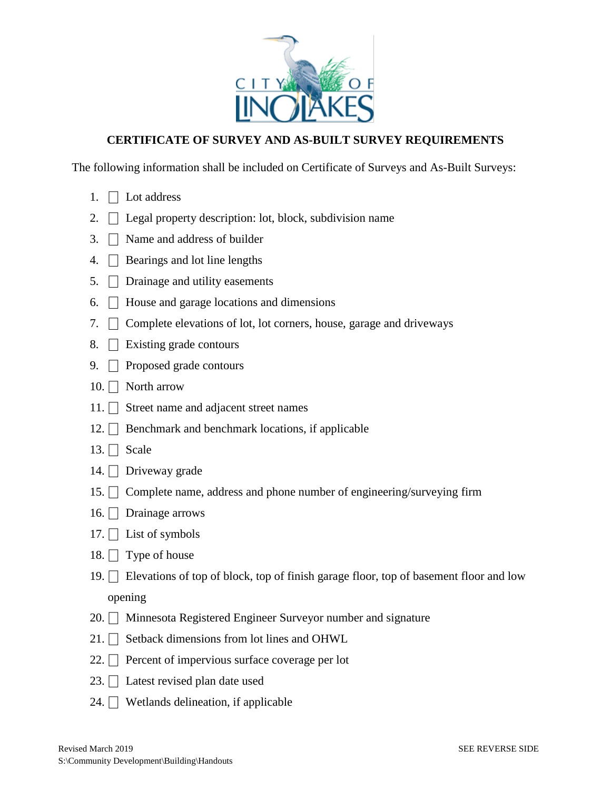

## **CERTIFICATE OF SURVEY AND AS-BUILT SURVEY REQUIREMENTS**

The following information shall be included on Certificate of Surveys and As-Built Surveys:

- 1.  $\Box$  Lot address
- 2.  $\Box$  Legal property description: lot, block, subdivision name
- 3.  $\Box$  Name and address of builder
- 4.  $\Box$  Bearings and lot line lengths
- 5.  $\Box$  Drainage and utility easements
- 6.  $\Box$  House and garage locations and dimensions
- 7.  $\Box$  Complete elevations of lot, lot corners, house, garage and driveways
- 8.  $\Box$  Existing grade contours
- 9.  $\Box$  Proposed grade contours
- 10.  $\Box$  North arrow
- 11.  $\Box$  Street name and adjacent street names
- 12.  $\Box$  Benchmark and benchmark locations, if applicable
- 13.  $\Box$  Scale
- 14.  $\Box$  Driveway grade
- 15.  $\Box$  Complete name, address and phone number of engineering/surveying firm
- 16.  $\Box$  Drainage arrows
- 17.  $\Box$  List of symbols
- 18.  $\Box$  Type of house
- 19.  $\Box$  Elevations of top of block, top of finish garage floor, top of basement floor and low opening
- 20.  $\Box$  Minnesota Registered Engineer Surveyor number and signature
- 21.  $\Box$  Setback dimensions from lot lines and OHWL
- 22.  $\Box$  Percent of impervious surface coverage per lot
- 23.  $\Box$  Latest revised plan date used
- 24.  $\Box$  Wetlands delineation, if applicable